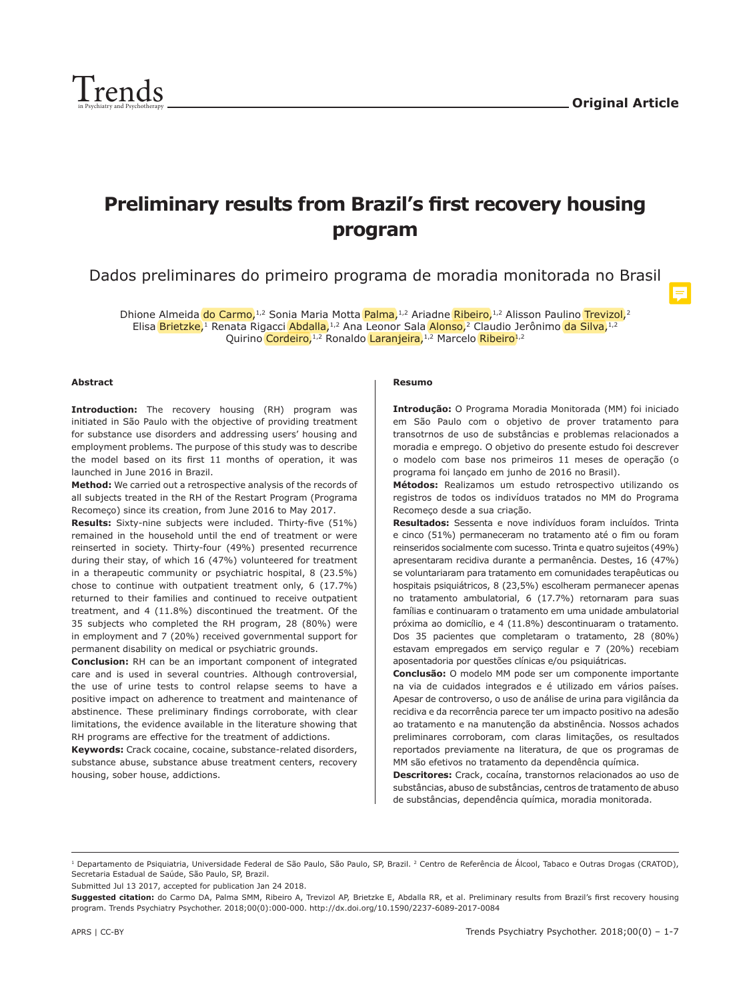$\equiv$ 



# **Preliminary results from Brazil's first recovery housing program**

Dados preliminares do primeiro programa de moradia monitorada no Brasil

Dhione Almeida do Carmo,<sup>1,2</sup> Sonia Maria Motta Palma,<sup>1,2</sup> Ariadne Ribeiro,<sup>1,2</sup> Alisson Paulino Trevizol,<sup>2</sup> Elisa Brietzke,<sup>1</sup> Renata Rigacci Abdalla,<sup>1,2</sup> Ana Leonor Sala Alonso,<sup>2</sup> Claudio Jerônimo da Silva,<sup>1,2</sup> Quirino Cordeiro,<sup>1,2</sup> Ronaldo Laranjeira,<sup>1,2</sup> Marcelo Ribeiro<sup>1,2</sup>

#### **Abstract**

**Introduction:** The recovery housing (RH) program was initiated in São Paulo with the objective of providing treatment for substance use disorders and addressing users' housing and employment problems. The purpose of this study was to describe the model based on its first 11 months of operation, it was launched in June 2016 in Brazil.

**Method:** We carried out a retrospective analysis of the records of all subjects treated in the RH of the Restart Program (Programa Recomeço) since its creation, from June 2016 to May 2017.

**Results:** Sixty-nine subjects were included. Thirty-five (51%) remained in the household until the end of treatment or were reinserted in society. Thirty-four (49%) presented recurrence during their stay, of which 16 (47%) volunteered for treatment in a therapeutic community or psychiatric hospital, 8 (23.5%) chose to continue with outpatient treatment only, 6 (17.7%) returned to their families and continued to receive outpatient treatment, and 4 (11.8%) discontinued the treatment. Of the 35 subjects who completed the RH program, 28 (80%) were in employment and 7 (20%) received governmental support for permanent disability on medical or psychiatric grounds.

**Conclusion:** RH can be an important component of integrated care and is used in several countries. Although controversial, the use of urine tests to control relapse seems to have a positive impact on adherence to treatment and maintenance of abstinence. These preliminary findings corroborate, with clear limitations, the evidence available in the literature showing that RH programs are effective for the treatment of addictions.

**Keywords:** Crack cocaine, cocaine, substance-related disorders, substance abuse, substance abuse treatment centers, recovery housing, sober house, addictions.

#### **Resumo**

**Introdução:** O Programa Moradia Monitorada (MM) foi iniciado em São Paulo com o objetivo de prover tratamento para transotrnos de uso de substâncias e problemas relacionados a moradia e emprego. O objetivo do presente estudo foi descrever o modelo com base nos primeiros 11 meses de operação (o programa foi lançado em junho de 2016 no Brasil).

**Métodos:** Realizamos um estudo retrospectivo utilizando os registros de todos os indivíduos tratados no MM do Programa Recomeço desde a sua criação.

**Resultados:** Sessenta e nove indivíduos foram incluídos. Trinta e cinco (51%) permaneceram no tratamento até o fim ou foram reinseridos socialmente com sucesso. Trinta e quatro sujeitos (49%) apresentaram recidiva durante a permanência. Destes, 16 (47%) se voluntariaram para tratamento em comunidades terapêuticas ou hospitais psiquiátricos, 8 (23,5%) escolheram permanecer apenas no tratamento ambulatorial, 6 (17.7%) retornaram para suas famílias e continuaram o tratamento em uma unidade ambulatorial próxima ao domicílio, e 4 (11.8%) descontinuaram o tratamento. Dos 35 pacientes que completaram o tratamento, 28 (80%) estavam empregados em serviço regular e 7 (20%) recebiam aposentadoria por questões clínicas e/ou psiquiátricas.

**Conclusão:** O modelo MM pode ser um componente importante na via de cuidados integrados e é utilizado em vários países. Apesar de controverso, o uso de análise de urina para vigilância da recidiva e da recorrência parece ter um impacto positivo na adesão ao tratamento e na manutenção da abstinência. Nossos achados preliminares corroboram, com claras limitações, os resultados reportados previamente na literatura, de que os programas de MM são efetivos no tratamento da dependência química.

**Descritores:** Crack, cocaína, transtornos relacionados ao uso de substâncias, abuso de substâncias, centros de tratamento de abuso de substâncias, dependência química, moradia monitorada.

Submitted Jul 13 2017, accepted for publication Jan 24 2018.

<sup>&</sup>lt;sup>1</sup> Departamento de Psiquiatria, Universidade Federal de São Paulo, São Paulo, SP, Brazil. <sup>2</sup> Centro de Referência de Álcool, Tabaco e Outras Drogas (CRATOD), Secretaria Estadual de Saúde, São Paulo, SP, Brazil.

**Suggested citation:** do Carmo DA, Palma SMM, Ribeiro A, Trevizol AP, Brietzke E, Abdalla RR, et al. Preliminary results from Brazil's first recovery housing program. Trends Psychiatry Psychother. 2018;00(0):000-000. http://dx.doi.org/10.1590/2237-6089-2017-0084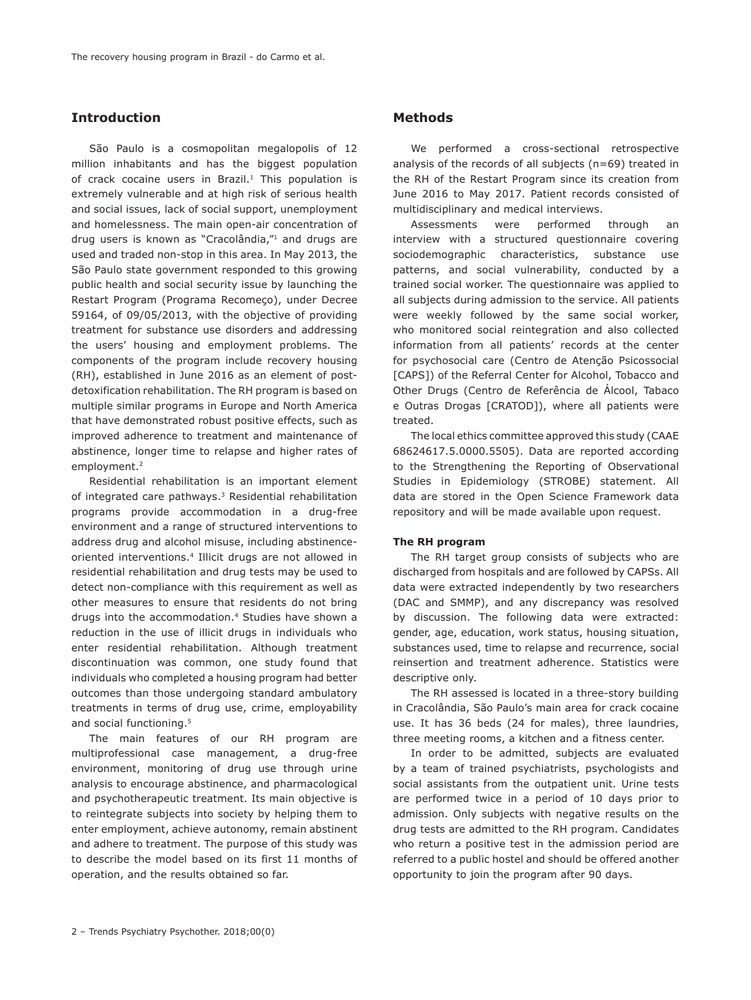# **Introduction**

São Paulo is a cosmopolitan megalopolis of 12 million inhabitants and has the biggest population of crack cocaine users in Brazil.<sup>1</sup> This population is extremely vulnerable and at high risk of serious health and social issues, lack of social support, unemployment and homelessness. The main open-air concentration of drug users is known as "Cracolândia,"1 and drugs are used and traded non-stop in this area. In May 2013, the São Paulo state government responded to this growing public health and social security issue by launching the Restart Program (Programa Recomeço), under Decree 59164, of 09/05/2013, with the objective of providing treatment for substance use disorders and addressing the users' housing and employment problems. The components of the program include recovery housing (RH), established in June 2016 as an element of postdetoxification rehabilitation. The RH program is based on multiple similar programs in Europe and North America that have demonstrated robust positive effects, such as improved adherence to treatment and maintenance of abstinence, longer time to relapse and higher rates of employment.2

Residential rehabilitation is an important element of integrated care pathways.<sup>3</sup> Residential rehabilitation programs provide accommodation in a drug-free environment and a range of structured interventions to address drug and alcohol misuse, including abstinenceoriented interventions.4 Illicit drugs are not allowed in residential rehabilitation and drug tests may be used to detect non-compliance with this requirement as well as other measures to ensure that residents do not bring drugs into the accommodation.4 Studies have shown a reduction in the use of illicit drugs in individuals who enter residential rehabilitation. Although treatment discontinuation was common, one study found that individuals who completed a housing program had better outcomes than those undergoing standard ambulatory treatments in terms of drug use, crime, employability and social functioning.<sup>5</sup>

The main features of our RH program are multiprofessional case management, a drug-free environment, monitoring of drug use through urine analysis to encourage abstinence, and pharmacological and psychotherapeutic treatment. Its main objective is to reintegrate subjects into society by helping them to enter employment, achieve autonomy, remain abstinent and adhere to treatment. The purpose of this study was to describe the model based on its first 11 months of operation, and the results obtained so far.

# **Methods**

We performed a cross-sectional retrospective analysis of the records of all subjects (n=69) treated in the RH of the Restart Program since its creation from June 2016 to May 2017. Patient records consisted of multidisciplinary and medical interviews.

Assessments were performed through an interview with a structured questionnaire covering sociodemographic characteristics, substance use patterns, and social vulnerability, conducted by a trained social worker. The questionnaire was applied to all subjects during admission to the service. All patients were weekly followed by the same social worker, who monitored social reintegration and also collected information from all patients' records at the center for psychosocial care (Centro de Atenção Psicossocial [CAPS]) of the Referral Center for Alcohol, Tobacco and Other Drugs (Centro de Referência de Álcool, Tabaco e Outras Drogas [CRATOD]), where all patients were treated.

The local ethics committee approved this study (CAAE 68624617.5.0000.5505). Data are reported according to the Strengthening the Reporting of Observational Studies in Epidemiology (STROBE) statement. All data are stored in the Open Science Framework data repository and will be made available upon request.

## **The RH program**

The RH target group consists of subjects who are discharged from hospitals and are followed by CAPSs. All data were extracted independently by two researchers (DAC and SMMP), and any discrepancy was resolved by discussion. The following data were extracted: gender, age, education, work status, housing situation, substances used, time to relapse and recurrence, social reinsertion and treatment adherence. Statistics were descriptive only.

The RH assessed is located in a three-story building in Cracolândia, São Paulo's main area for crack cocaine use. It has 36 beds (24 for males), three laundries, three meeting rooms, a kitchen and a fitness center.

In order to be admitted, subjects are evaluated by a team of trained psychiatrists, psychologists and social assistants from the outpatient unit. Urine tests are performed twice in a period of 10 days prior to admission. Only subjects with negative results on the drug tests are admitted to the RH program. Candidates who return a positive test in the admission period are referred to a public hostel and should be offered another opportunity to join the program after 90 days.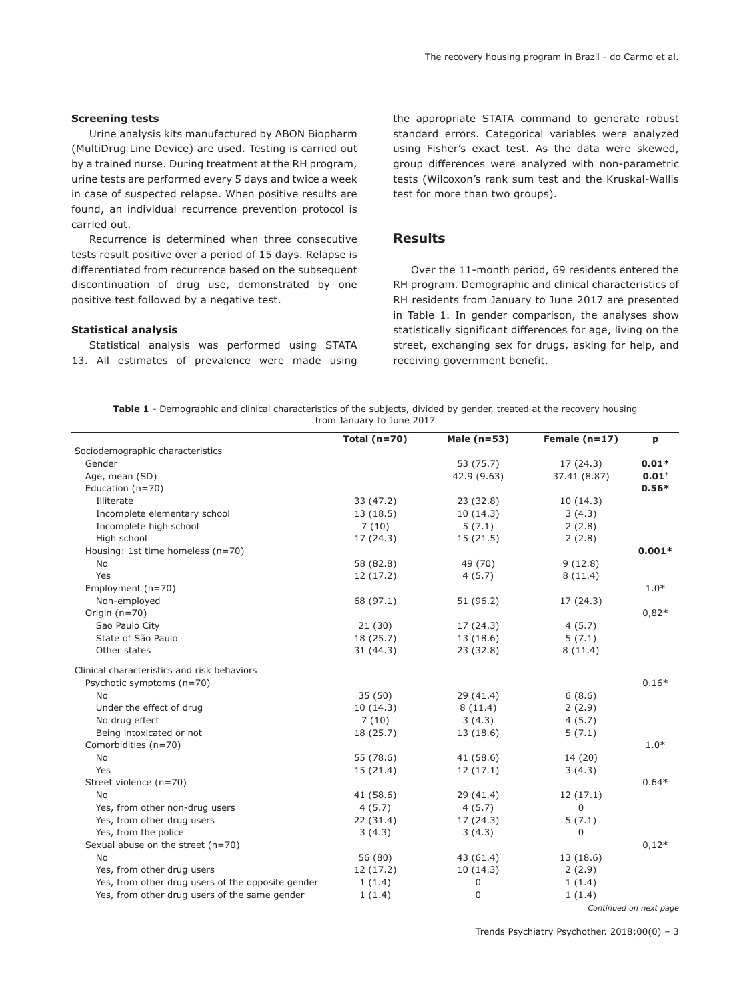#### **Screening tests**

Urine analysis kits manufactured by ABON Biopharm (MultiDrug Line Device) are used. Testing is carried out by a trained nurse. During treatment at the RH program, urine tests are performed every 5 days and twice a week in case of suspected relapse. When positive results are found, an individual recurrence prevention protocol is carried out.

Recurrence is determined when three consecutive tests result positive over a period of 15 days. Relapse is differentiated from recurrence based on the subsequent discontinuation of drug use, demonstrated by one positive test followed by a negative test.

#### **Statistical analysis**

Statistical analysis was performed using STATA 13. All estimates of prevalence were made using

the appropriate STATA command to generate robust standard errors. Categorical variables were analyzed using Fisher's exact test. As the data were skewed, group differences were analyzed with non-parametric tests (Wilcoxon's rank sum test and the Kruskal-Wallis test for more than two groups).

## **Results**

Over the 11-month period, 69 residents entered the RH program. Demographic and clinical characteristics of RH residents from January to June 2017 are presented in Table 1. In gender comparison, the analyses show statistically significant differences for age, living on the street, exchanging sex for drugs, asking for help, and receiving government benefit.

**Table 1 -** Demographic and clinical characteristics of the subjects, divided by gender, treated at the recovery housing from January to June 2017

|                                                   | Total $(n=70)$ | Male $(n=53)$ | Female $(n=17)$ | p        |
|---------------------------------------------------|----------------|---------------|-----------------|----------|
| Sociodemographic characteristics                  |                |               |                 |          |
| Gender                                            |                | 53 (75.7)     | 17(24.3)        | $0.01*$  |
| Age, mean (SD)                                    |                | 42.9 (9.63)   | 37.41 (8.87)    | $0.01*$  |
| Education $(n=70)$                                |                |               |                 | $0.56*$  |
| Illiterate                                        | 33(47.2)       | 23(32.8)      | 10(14.3)        |          |
| Incomplete elementary school                      | 13(18.5)       | 10(14.3)      | 3(4.3)          |          |
| Incomplete high school                            | 7(10)          | 5(7.1)        | 2(2.8)          |          |
| High school                                       | 17(24.3)       | 15(21.5)      | 2(2.8)          |          |
| Housing: 1st time homeless (n=70)                 |                |               |                 | $0.001*$ |
| No                                                | 58 (82.8)      | 49 (70)       | 9(12.8)         |          |
| Yes                                               | 12(17.2)       | 4(5.7)        | 8(11.4)         |          |
| Employment $(n=70)$                               |                |               |                 | $1.0*$   |
| Non-employed                                      | 68 (97.1)      | 51 (96.2)     | 17 (24.3)       |          |
| Origin $(n=70)$                                   |                |               |                 | $0,82*$  |
| Sao Paulo City                                    | 21(30)         | 17 (24.3)     | 4(5.7)          |          |
| State of São Paulo                                | 18 (25.7)      | 13(18.6)      | 5(7.1)          |          |
| Other states                                      | 31(44.3)       | 23(32.8)      | 8(11.4)         |          |
| Clinical characteristics and risk behaviors       |                |               |                 |          |
| Psychotic symptoms (n=70)                         |                |               |                 | $0.16*$  |
| <b>No</b>                                         | 35(50)         | 29(41.4)      | 6(8.6)          |          |
| Under the effect of drug                          | 10(14.3)       | 8(11.4)       | 2(2.9)          |          |
| No drug effect                                    | 7(10)          | 3(4.3)        | 4(5.7)          |          |
| Being intoxicated or not                          | 18 (25.7)      | 13 (18.6)     | 5(7.1)          |          |
| Comorbidities (n=70)                              |                |               |                 | $1.0*$   |
| No                                                | 55 (78.6)      | 41 (58.6)     | 14 (20)         |          |
| Yes                                               | 15(21.4)       | 12(17.1)      | 3(4.3)          |          |
| Street violence (n=70)                            |                |               |                 | $0.64*$  |
| <b>No</b>                                         | 41(58.6)       | 29 (41.4)     | 12(17.1)        |          |
| Yes, from other non-drug users                    | 4(5.7)         | 4(5.7)        | 0               |          |
| Yes, from other drug users                        | 22(31.4)       | 17(24.3)      | 5(7.1)          |          |
| Yes, from the police                              | 3(4.3)         | 3(4.3)        | 0               |          |
| Sexual abuse on the street (n=70)                 |                |               |                 | $0,12*$  |
| No                                                | 56 (80)        | 43(61.4)      | 13 (18.6)       |          |
| Yes, from other drug users                        | 12(17.2)       | 10(14.3)      | 2(2.9)          |          |
| Yes, from other drug users of the opposite gender | 1(1.4)         | 0             | 1(1.4)          |          |
| Yes, from other drug users of the same gender     | 1(1.4)         | 0             | 1(1.4)          |          |

*Continued on next page*

Trends Psychiatry Psychother. 2018;00(0) – 3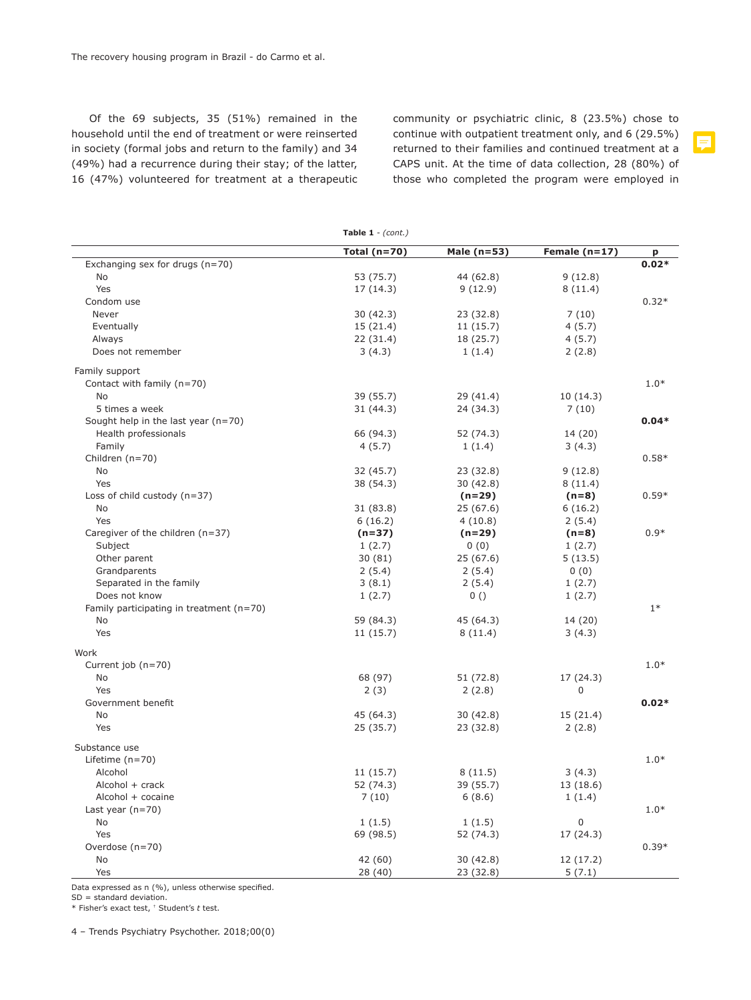Of the 69 subjects, 35 (51%) remained in the household until the end of treatment or were reinserted in society (formal jobs and return to the family) and 34 (49%) had a recurrence during their stay; of the latter, 16 (47%) volunteered for treatment at a therapeutic community or psychiatric clinic, 8 (23.5%) chose to continue with outpatient treatment only, and 6 (29.5%) returned to their families and continued treatment at a CAPS unit. At the time of data collection, 28 (80%) of those who completed the program were employed in

|                                            | Table $1 - (cont.)$ |             |                 |         |  |
|--------------------------------------------|---------------------|-------------|-----------------|---------|--|
|                                            | Total $(n=70)$      | Male (n=53) | Female $(n=17)$ | p       |  |
| Exchanging sex for drugs (n=70)            |                     |             |                 | $0.02*$ |  |
| <b>No</b>                                  | 53 (75.7)           | 44 (62.8)   | 9(12.8)         |         |  |
| Yes                                        | 17 (14.3)           | 9(12.9)     | 8(11.4)         |         |  |
| Condom use                                 |                     |             |                 | $0.32*$ |  |
| Never                                      | 30(42.3)            | 23 (32.8)   | 7(10)           |         |  |
| Eventually                                 | 15(21.4)            | 11(15.7)    | 4(5.7)          |         |  |
| Always                                     | 22 (31.4)           | 18 (25.7)   | 4(5.7)          |         |  |
| Does not remember                          | 3(4.3)              | 1(1.4)      | 2(2.8)          |         |  |
| Family support                             |                     |             |                 |         |  |
| Contact with family (n=70)                 |                     |             |                 | $1.0*$  |  |
| <b>No</b>                                  | 39 (55.7)           | 29 (41.4)   | 10(14.3)        |         |  |
| 5 times a week                             | 31(44.3)            | 24 (34.3)   | 7(10)           |         |  |
| Sought help in the last year $(n=70)$      |                     |             |                 | $0.04*$ |  |
| Health professionals                       | 66 (94.3)           | 52 (74.3)   | 14 (20)         |         |  |
| Family                                     | 4(5.7)              | 1(1.4)      | 3(4.3)          |         |  |
| Children (n=70)                            |                     |             |                 | $0.58*$ |  |
| <b>No</b>                                  | 32 (45.7)           | 23 (32.8)   | 9(12.8)         |         |  |
| Yes                                        | 38 (54.3)           | 30 (42.8)   | 8(11.4)         |         |  |
| Loss of child custody $(n=37)$             |                     | $(n=29)$    | $(n=8)$         | $0.59*$ |  |
| <b>No</b>                                  | 31 (83.8)           | 25(67.6)    | 6(16.2)         |         |  |
| Yes                                        | 6(16.2)             | 4(10.8)     | 2(5.4)          |         |  |
| Caregiver of the children (n=37)           | $(n=37)$            | $(n=29)$    | $(n=8)$         | $0.9*$  |  |
| Subject                                    | 1(2.7)              | 0(0)        | 1(2.7)          |         |  |
| Other parent                               | 30(81)              | 25(67.6)    | 5(13.5)         |         |  |
| Grandparents                               | 2(5.4)              | 2(5.4)      | 0(0)            |         |  |
| Separated in the family                    | 3(8.1)              | 2(5.4)      | 1(2.7)          |         |  |
| Does not know                              | 1(2.7)              | 0()         | 1(2.7)          |         |  |
| Family participating in treatment $(n=70)$ |                     |             |                 | $1*$    |  |
| No                                         | 59 (84.3)           | 45 (64.3)   | 14 (20)         |         |  |
| Yes                                        | 11 (15.7)           | 8(11.4)     | 3(4.3)          |         |  |
| Work                                       |                     |             |                 |         |  |
| Current job (n=70)                         |                     |             |                 | $1.0*$  |  |
| No                                         | 68 (97)             | 51(72.8)    | 17(24.3)        |         |  |
| Yes                                        | 2(3)                | 2(2.8)      | 0               |         |  |
| Government benefit                         |                     |             |                 | $0.02*$ |  |
| No                                         | 45 (64.3)           | 30(42.8)    | 15(21.4)        |         |  |
| Yes                                        | 25 (35.7)           | 23 (32.8)   | 2(2.8)          |         |  |
| Substance use                              |                     |             |                 |         |  |
| Lifetime $(n=70)$                          |                     |             |                 | $1.0*$  |  |
| Alcohol                                    | 11(15.7)            | 8(11.5)     | 3(4.3)          |         |  |
| Alcohol $+$ crack                          | 52 (74.3)           | 39 (55.7)   | 13 (18.6)       |         |  |
| Alcohol + cocaine                          | 7(10)               | 6(8.6)      | 1(1.4)          |         |  |
| Last year $(n=70)$                         |                     |             |                 | $1.0*$  |  |
| <b>No</b>                                  | 1(1.5)              | 1(1.5)      | 0               |         |  |
| Yes                                        | 69 (98.5)           | 52 (74.3)   | 17 (24.3)       |         |  |
| Overdose (n=70)                            |                     |             |                 | $0.39*$ |  |
| <b>No</b>                                  | 42 (60)             | 30(42.8)    | 12 (17.2)       |         |  |
| Yes                                        | 28 (40)             | 23 (32.8)   | 5(7.1)          |         |  |

Data expressed as n (%), unless otherwise specified.

SD = standard deviation.

\* Fisher's exact test, † Student's *t* test.

4 – Trends Psychiatry Psychother. 2018;00(0)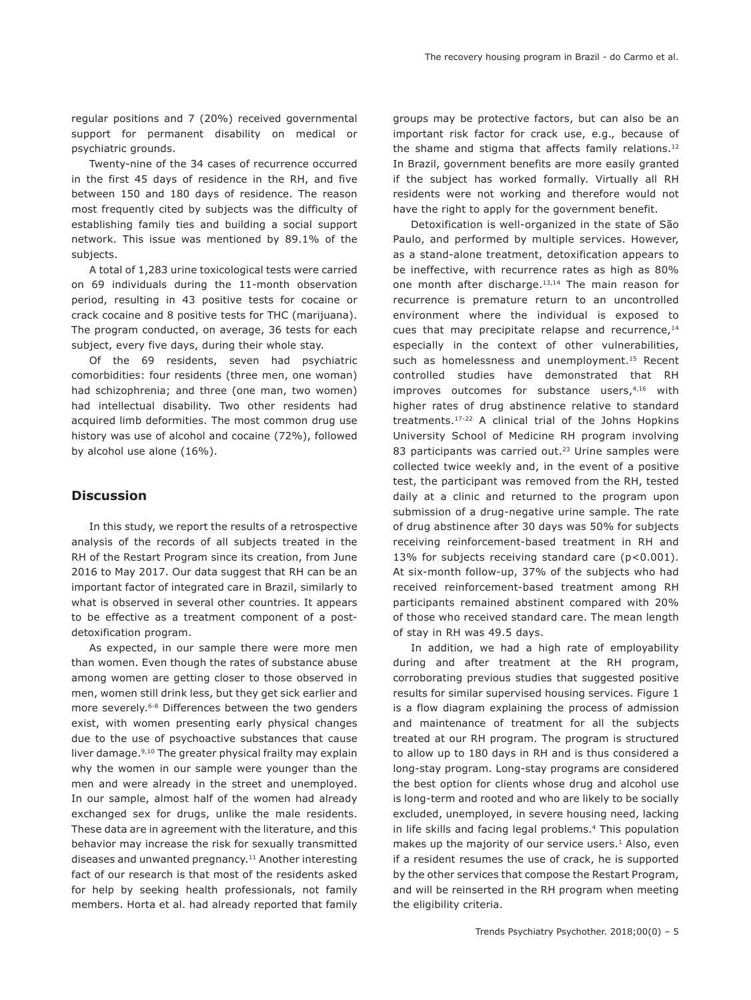regular positions and 7 (20%) received governmental support for permanent disability on medical or psychiatric grounds.

Twenty-nine of the 34 cases of recurrence occurred in the first 45 days of residence in the RH, and five between 150 and 180 days of residence. The reason most frequently cited by subjects was the difficulty of establishing family ties and building a social support network. This issue was mentioned by 89.1% of the subjects.

A total of 1,283 urine toxicological tests were carried on 69 individuals during the 11-month observation period, resulting in 43 positive tests for cocaine or crack cocaine and 8 positive tests for THC (marijuana). The program conducted, on average, 36 tests for each subject, every five days, during their whole stay.

Of the 69 residents, seven had psychiatric comorbidities: four residents (three men, one woman) had schizophrenia; and three (one man, two women) had intellectual disability. Two other residents had acquired limb deformities. The most common drug use history was use of alcohol and cocaine (72%), followed by alcohol use alone (16%).

## **Discussion**

In this study, we report the results of a retrospective analysis of the records of all subjects treated in the RH of the Restart Program since its creation, from June 2016 to May 2017. Our data suggest that RH can be an important factor of integrated care in Brazil, similarly to what is observed in several other countries. It appears to be effective as a treatment component of a postdetoxification program.

As expected, in our sample there were more men than women. Even though the rates of substance abuse among women are getting closer to those observed in men, women still drink less, but they get sick earlier and more severely.6-8 Differences between the two genders exist, with women presenting early physical changes due to the use of psychoactive substances that cause liver damage.<sup>9,10</sup> The greater physical frailty may explain why the women in our sample were younger than the men and were already in the street and unemployed. In our sample, almost half of the women had already exchanged sex for drugs, unlike the male residents. These data are in agreement with the literature, and this behavior may increase the risk for sexually transmitted diseases and unwanted pregnancy.<sup>11</sup> Another interesting fact of our research is that most of the residents asked for help by seeking health professionals, not family members. Horta et al. had already reported that family groups may be protective factors, but can also be an important risk factor for crack use, e.g., because of the shame and stigma that affects family relations.<sup>12</sup> In Brazil, government benefits are more easily granted if the subject has worked formally. Virtually all RH residents were not working and therefore would not have the right to apply for the government benefit.

Detoxification is well-organized in the state of São Paulo, and performed by multiple services. However, as a stand-alone treatment, detoxification appears to be ineffective, with recurrence rates as high as 80% one month after discharge.13,14 The main reason for recurrence is premature return to an uncontrolled environment where the individual is exposed to cues that may precipitate relapse and recurrence, $14$ especially in the context of other vulnerabilities, such as homelessness and unemployment.<sup>15</sup> Recent controlled studies have demonstrated that RH improves outcomes for substance users, $4,16$  with higher rates of drug abstinence relative to standard treatments.17-22 A clinical trial of the Johns Hopkins University School of Medicine RH program involving 83 participants was carried out.<sup>23</sup> Urine samples were collected twice weekly and, in the event of a positive test, the participant was removed from the RH, tested daily at a clinic and returned to the program upon submission of a drug-negative urine sample. The rate of drug abstinence after 30 days was 50% for subjects receiving reinforcement-based treatment in RH and 13% for subjects receiving standard care (p<0.001). At six-month follow-up, 37% of the subjects who had received reinforcement-based treatment among RH participants remained abstinent compared with 20% of those who received standard care. The mean length of stay in RH was 49.5 days.

In addition, we had a high rate of employability during and after treatment at the RH program, corroborating previous studies that suggested positive results for similar supervised housing services. Figure 1 is a flow diagram explaining the process of admission and maintenance of treatment for all the subjects treated at our RH program. The program is structured to allow up to 180 days in RH and is thus considered a long-stay program. Long-stay programs are considered the best option for clients whose drug and alcohol use is long-term and rooted and who are likely to be socially excluded, unemployed, in severe housing need, lacking in life skills and facing legal problems.4 This population makes up the majority of our service users.<sup>1</sup> Also, even if a resident resumes the use of crack, he is supported by the other services that compose the Restart Program, and will be reinserted in the RH program when meeting the eligibility criteria.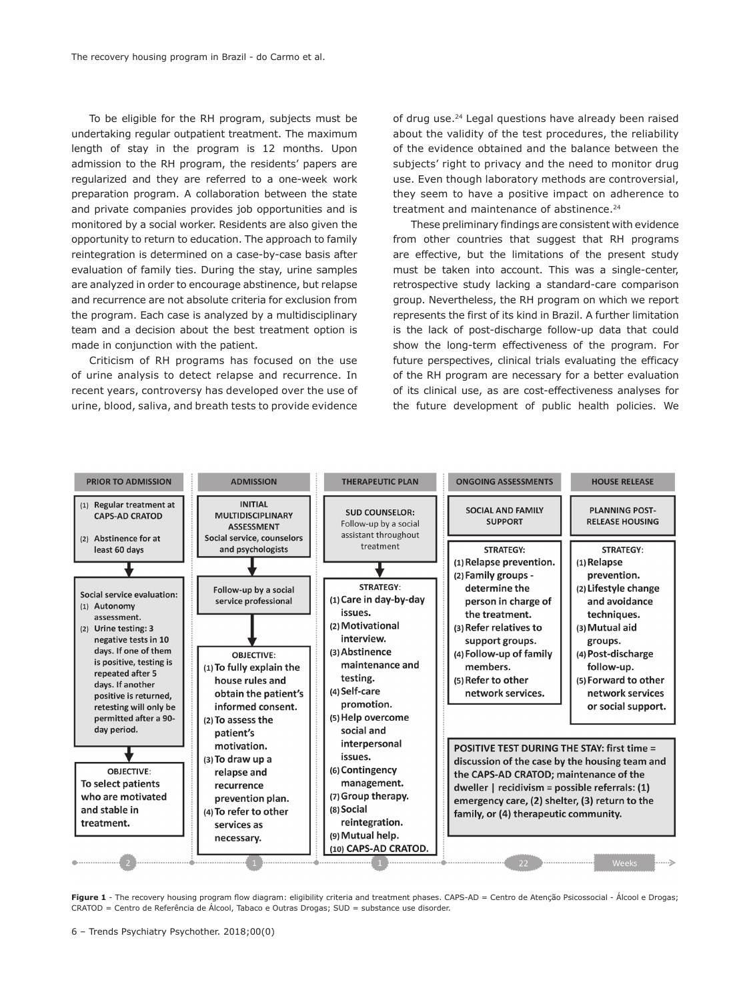To be eligible for the RH program, subjects must be undertaking regular outpatient treatment. The maximum length of stay in the program is 12 months. Upon admission to the RH program, the residents' papers are regularized and they are referred to a one-week work preparation program. A collaboration between the state and private companies provides job opportunities and is monitored by a social worker. Residents are also given the opportunity to return to education. The approach to family reintegration is determined on a case-by-case basis after evaluation of family ties. During the stay, urine samples are analyzed in order to encourage abstinence, but relapse and recurrence are not absolute criteria for exclusion from the program. Each case is analyzed by a multidisciplinary team and a decision about the best treatment option is made in conjunction with the patient.

Criticism of RH programs has focused on the use of urine analysis to detect relapse and recurrence. In recent years, controversy has developed over the use of urine, blood, saliva, and breath tests to provide evidence of drug use.24 Legal questions have already been raised about the validity of the test procedures, the reliability of the evidence obtained and the balance between the subjects' right to privacy and the need to monitor drug use. Even though laboratory methods are controversial, they seem to have a positive impact on adherence to treatment and maintenance of abstinence.<sup>24</sup>

These preliminary findings are consistent with evidence from other countries that suggest that RH programs are effective, but the limitations of the present study must be taken into account. This was a single-center, retrospective study lacking a standard-care comparison group. Nevertheless, the RH program on which we report represents the first of its kind in Brazil. A further limitation is the lack of post-discharge follow-up data that could show the long-term effectiveness of the program. For future perspectives, clinical trials evaluating the efficacy of the RH program are necessary for a better evaluation of its clinical use, as are cost-effectiveness analyses for the future development of public health policies. We



Figure 1 - The recovery housing program flow diagram: eligibility criteria and treatment phases. CAPS-AD = Centro de Atenção Psicossocial - Álcool e Drogas; CRATOD = Centro de Referência de Álcool, Tabaco e Outras Drogas; SUD = substance use disorder.